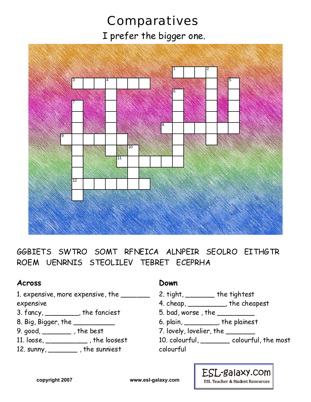# **Comparatives**

I prefer the bigger one.



GGBIETS SWTRO SOMT RFNEICA ALNPEIR SEOLRO EITHGTR ROEM UENRNIS STEOLILEV TEBRET ECEPRHA

#### **Across**

1. expensive, more expensive, the \_\_\_\_\_\_\_ expensive

- 3. fancy, \_\_\_\_\_\_\_\_\_, the fanciest
- 8. Big, Bigger, the  $\frac{1}{2}$  the best
- $9. good, __________$ , the best
- 11. loose, \_\_\_\_\_\_\_\_\_\_\_\_\_\_\_, the loosest
- 12. sunny, \_\_\_\_\_\_\_\_\_, the sunniest

### Down

- 2. tight, \_\_\_\_\_\_\_\_ the tightest
- 4. cheap, \_\_\_\_\_\_\_\_\_\_\_, the cheapest
- 5. bad, worse, the \_\_\_\_\_\_\_\_\_\_\_\_
- 6. plain,  $\frac{1}{1}$  the plainest
- 7. lovely, lovelier, the

<sup>10.</sup> colourful, \_\_\_\_\_\_\_\_\_ colourful, the most colourful



www.esl-galaxy.com